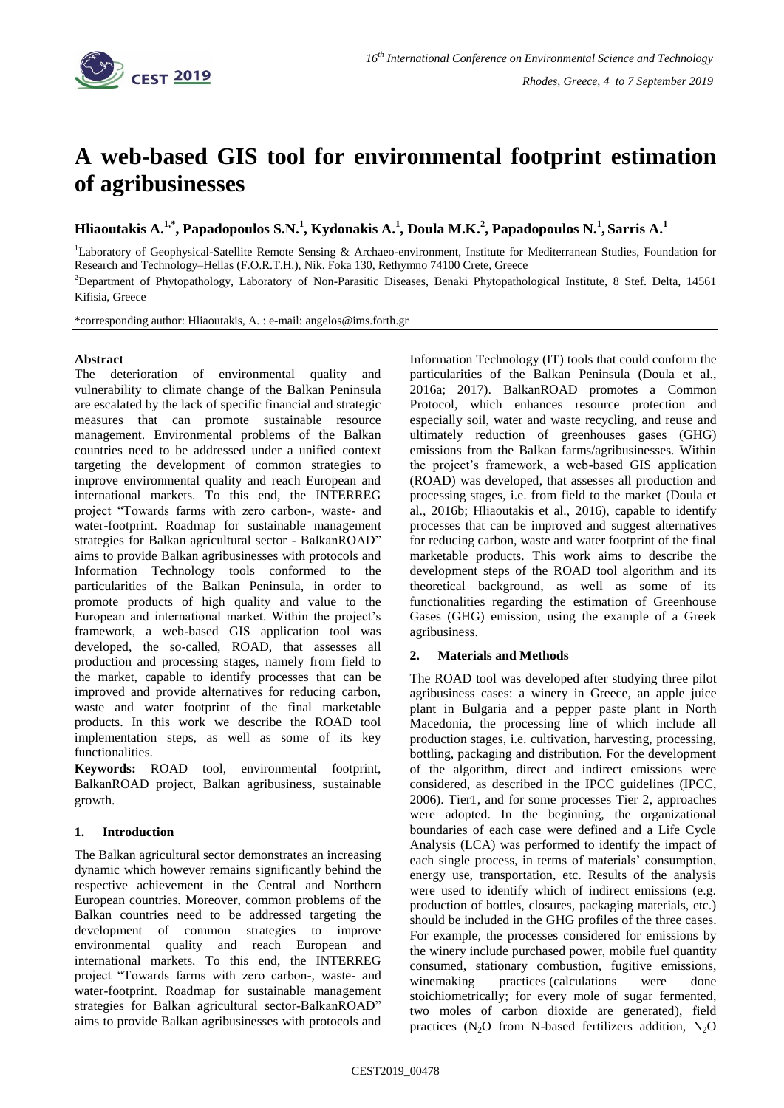

# **A web-based GIS tool for environmental footprint estimation of agribusinesses**

**Hliaoutakis A.1,\*, Papadopoulos S.N.<sup>1</sup> , Kydonakis A.<sup>1</sup> , Doula M.K.<sup>2</sup> , Papadopoulos N.<sup>1</sup> , Sarris A.<sup>1</sup>**

<sup>1</sup>Laboratory of Geophysical-Satellite Remote Sensing & Archaeo-environment, Institute for Mediterranean Studies, Foundation for Research and Technology–Hellas (F.O.R.T.H.), Nik. Foka 130, Rethymno 74100 Crete, Greece <sup>2</sup>Department of Phytopathology, Laboratory of Non-Parasitic Diseases, Benaki Phytopathological Institute, 8 Stef. Delta, 14561

Kifisia, Greece

\*corresponding author: Hliaoutakis, A. : e-mail: angelos@ims.forth.gr

## **Abstract**

The deterioration of environmental quality and vulnerability to climate change of the Balkan Peninsula are escalated by the lack of specific financial and strategic measures that can promote sustainable resource management. Environmental problems of the Balkan countries need to be addressed under a unified context targeting the development of common strategies to improve environmental quality and reach European and international markets. To this end, the INTERREG project "Towards farms with zero carbon-, waste- and water-footprint. Roadmap for sustainable management strategies for Balkan agricultural sector - BalkanROAD" aims to provide Balkan agribusinesses with protocols and Information Technology tools conformed to the particularities of the Balkan Peninsula, in order to promote products of high quality and value to the European and international market. Within the project's framework, a web-based GIS application tool was developed, the so-called, ROAD, that assesses all production and processing stages, namely from field to the market, capable to identify processes that can be improved and provide alternatives for reducing carbon, waste and water footprint of the final marketable products. In this work we describe the ROAD tool implementation steps, as well as some of its key functionalities.

**Keywords:** ROAD tool, environmental footprint, BalkanROAD project, Balkan agribusiness, sustainable growth.

### **1. Introduction**

The Balkan agricultural sector demonstrates an increasing dynamic which however remains significantly behind the respective achievement in the Central and Northern European countries. Moreover, common problems of the Balkan countries need to be addressed targeting the development of common strategies to improve environmental quality and reach European and international markets. To this end, the INTERREG project "Towards farms with zero carbon-, waste- and water-footprint. Roadmap for sustainable management strategies for Balkan agricultural sector-BalkanROAD" aims to provide Balkan agribusinesses with protocols and Information Technology (IT) tools that could conform the particularities of the Balkan Peninsula (Doula et al., 2016a; 2017). BalkanROAD promotes a Common Protocol, which enhances resource protection and especially soil, water and waste recycling, and reuse and ultimately reduction of greenhouses gases (GHG) emissions from the Balkan farms/agribusinesses. Within the project's framework, a web-based GIS application (ROAD) was developed, that assesses all production and processing stages, i.e. from field to the market (Doula et al., 2016b; Hliaoutakis et al., 2016), capable to identify processes that can be improved and suggest alternatives for reducing carbon, waste and water footprint of the final marketable products. This work aims to describe the development steps of the ROAD tool algorithm and its theoretical background, as well as some of its functionalities regarding the estimation of Greenhouse Gases (GHG) emission, using the example of a Greek agribusiness.

# **2. Materials and Methods**

The ROAD tool was developed after studying three pilot agribusiness cases: a winery in Greece, an apple juice plant in Bulgaria and a pepper paste plant in North Macedonia, the processing line of which include all production stages, i.e. cultivation, harvesting, processing, bottling, packaging and distribution. For the development of the algorithm, direct and indirect emissions were considered, as described in the IPCC guidelines (IPCC, 2006). Tier1, and for some processes Tier 2, approaches were adopted. In the beginning, the organizational boundaries of each case were defined and a Life Cycle Analysis (LCA) was performed to identify the impact of each single process, in terms of materials' consumption, energy use, transportation, etc. Results of the analysis were used to identify which of indirect emissions (e.g. production of bottles, closures, packaging materials, etc.) should be included in the GHG profiles of the three cases. For example, the processes considered for emissions by the winery include purchased power, mobile fuel quantity consumed, stationary combustion, fugitive emissions, winemaking practices (calculations were done stoichiometrically; for every mole of sugar fermented, two moles of carbon dioxide are generated), field practices  $(N<sub>2</sub>O$  from N-based fertilizers addition,  $N<sub>2</sub>O$